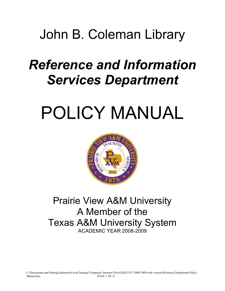## John B. Coleman Library

# *Reference and Information Services Department*

# POLICY MANUAL



### Prairie View A&M University A Member of the Texas A&M University System ACADEMIC YEAR 2008-2009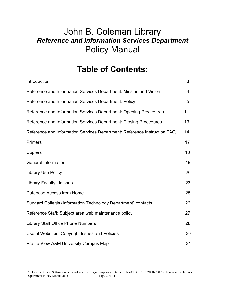### **Table of Contents:**

| Introduction                                                             | 3  |
|--------------------------------------------------------------------------|----|
| Reference and Information Services Department: Mission and Vision        | 4  |
| Reference and Information Services Department: Policy                    | 5  |
| Reference and Information Services Department: Opening Procedures        | 11 |
| Reference and Information Services Department: Closing Procedures        | 13 |
| Reference and Information Services Department: Reference Instruction FAQ | 14 |
| <b>Printers</b>                                                          | 17 |
| Copiers                                                                  | 18 |
| <b>General Information</b>                                               | 19 |
| <b>Library Use Policy</b>                                                | 20 |
| <b>Library Faculty Liaisons</b>                                          | 23 |
| Database Access from Home                                                | 25 |
| Sungard Collegis (Information Technology Department) contacts            | 26 |
| Reference Staff: Subject area web maintenance policy                     | 27 |
| <b>Library Staff Office Phone Numbers</b>                                | 28 |
| Useful Websites: Copyright Issues and Policies                           | 30 |
| Prairie View A&M University Campus Map                                   | 31 |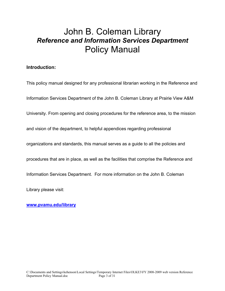#### **Introduction:**

This policy manual designed for any professional librarian working in the Reference and Information Services Department of the John B. Coleman Library at Prairie View A&M University. From opening and closing procedures for the reference area, to the mission and vision of the department, to helpful appendices regarding professional organizations and standards, this manual serves as a guide to all the policies and procedures that are in place, as well as the facilities that comprise the Reference and Information Services Department. For more information on the John B. Coleman Library please visit:

**www.pvamu.edu/library**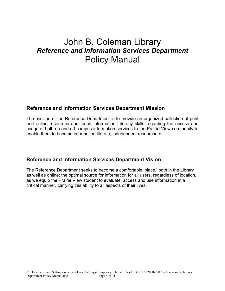#### **Reference and Information Services Department Mission**

The mission of the Reference Department is to provide an organized collection of print and online resources and teach Information Literacy skills regarding the access and usage of both on and off campus information services to the Prairie View community to enable them to become information literate, independent researchers.

#### **Reference and Information Services Department Vision**

The Reference Department seeks to become a comfortable 'place,' both in the Library as well as online; the optimal source for information for all users, regardless of location, as we equip the Prairie View student to evaluate, access and use information in a critical manner, carrying this ability to all aspects of their lives.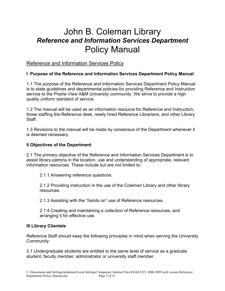#### Reference and Information Services Policy

#### **I Purpose of the Reference and Information Services Department Policy Manual**

1.1 The purpose of the Reference and Information Services Department Policy Manual is to state guidelines and departmental policies for providing Reference and Instruction service to the Prairie View A&M University community. We strive to provide a high quality uniform standard of service.

1.2 The manual will be used as an information resource for Reference and Instruction, those staffing the Reference desk, newly hired Reference Librarians, and other Library Staff.

1.3 Revisions to the manual will be made by consensus of the Department whenever it is deemed necessary.

#### **II Objectives of the Department**

2.1 The primary objective of the Reference and Information Services Department is to assist library patrons in the location, use and understanding of appropriate, relevant information resources. These include but are not limited to:

2.1.1 Answering reference questions.

2.1.2 Providing instruction in the use of the Coleman Library and other library resources.

2.1.3 Assisting with the "hands on" use of Reference resources.

2.1.4 Creating and maintaining a collection of Reference resources, and arranging it for effective use.

#### **III Library Clientele**

Reference Staff should keep the following principles in mind when serving the University Community:

3.1 Undergraduate students are entitled to the same level of service as a graduate student, faculty member, administrator or university staff member.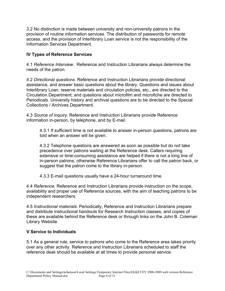3.2 No distinction is made between university and non-university patrons in the provision of routine information services. The distribution of passwords for remote access, and the provision of Interlibrary Loan service is not the responsibility of the Information Services Department.

#### **IV Types of Reference Services**

4.1 *Reference Interview.* Reference and Instruction Librarians always determine the needs of the patron.

4.2 *Directional questions.* Reference and Instruction Librarians provide directional assistance, and answer basic questions about the library. Questions and issues about Interlibrary Loan, reserve materials and circulation policies, etc., are directed to the Circulation Department; and questions about microfilm and microfiche are directed to Periodicals. University history and archival questions are to be directed to the Special Collections / Archives Department.

4.3 *Source of inquiry*. Reference and Instruction Librarians provide Reference information in-person, by telephone, and by E-mail.

4.3.1 If sufficient time is not available to answer in-person questions, patrons are told when an answer will be given.

4.3.2 Telephone questions are answered as soon as possible but do not take precedence over patrons waiting at the Reference desk. Callers requiring extensive or time-consuming assistance are helped if there is not a long line of in-person patrons, otherwise Reference Librarians offer to call the patron back, or suggest that the patron come to the library in-person.

4.3.3 E-mail questions usually have a 24-hour turnaround time.

4.4 *Reference.* Reference and Instruction Librarians provide instruction on the scope, availability and proper use of Reference sources, with the aim of teaching patrons to be independent researchers.

4.5 *Instructional materials*. Periodically, Reference and Instruction Librarians prepare and distribute instructional handouts for Research Instruction classes, and copies of these are available behind the Reference desk or through links on the John B. Coleman Library Website.

#### **V Service to Individuals**

5.1 As a general rule, service to patrons who come to the Reference area takes priority over any other activity. Reference and Instruction Librarians scheduled to staff the reference desk should be available at all times to provide personal service.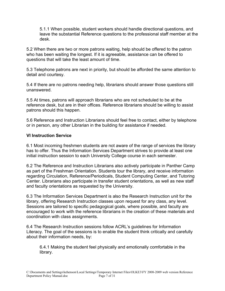5.1.1 When possible, student workers should handle directional questions, and leave the substantial Reference questions to the professional staff member at the desk.

5.2 When there are two or more patrons waiting, help should be offered to the patron who has been waiting the longest. If it is agreeable, assistance can be offered to questions that will take the least amount of time.

5.3 Telephone patrons are next in priority, but should be afforded the same attention to detail and courtesy.

5.4 If there are no patrons needing help, librarians should answer those questions still unanswered.

5.5 At times, patrons will approach librarians who are not scheduled to be at the reference desk, but are in their offices. Reference librarians should be willing to assist patrons should this happen.

5.6 Reference and Instruction Librarians should feel free to contact, either by telephone or in person, any other Librarian in the building for assistance if needed.

#### **VI Instruction Service**

6.1 Most incoming freshmen students are not aware of the range of services the library has to offer. Thus the Information Services Department strives to provide at least one initial instruction session to each University College course in each semester.

6.2 The Reference and Instruction Librarians also actively participate in Panther Camp as part of the Freshman Orientation. Students tour the library, and receive information regarding Circulation, Reference/Periodicals, Student Computing Center, and Tutoring Center. Librarians also participate in transfer student orientations, as well as new staff and faculty orientations as requested by the University.

6.3 The Information Services Department is also the Research Instruction unit for the library, offering Research Instruction classes upon request for any class, any level. Sessions are tailored to specific pedagogical goals, where possible, and faculty are encouraged to work with the reference librarians in the creation of these materials and coordination with class assignments.

6.4 The Research Instruction sessions follow ACRL's guidelines for Information Literacy. The goal of the sessions is to enable the student think critically and carefully about their information needs, by:

6.4.1 Making the student feel physically and emotionally comfortable in the library.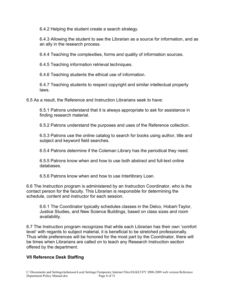6.4.2 Helping the student create a search strategy.

6.4.3 Allowing the student to see the Librarian as a source for information, and as an ally in the research process.

6.4.4 Teaching the complexities, forms and quality of information sources.

6.4.5 Teaching information retrieval techniques.

6.4.6 Teaching students the ethical use of information.

6.4.7 Teaching students to respect copyright and similar intellectual property laws.

6.5 As a result, the Reference and Instruction Librarians seek to have:

6.5.1 Patrons understand that it is always appropriate to ask for assistance in finding research material.

6.5.2 Patrons understand the purposes and uses of the Reference collection.

6.5.3 Patrons use the online catalog to search for books using author, title and subject and keyword field searches.

6.5.4 Patrons determine if the Coleman Library has the periodical they need.

6.5.5 Patrons know when and how to use both abstract and full-text online databases.

6.5.6 Patrons know when and how to use Interlibrary Loan.

6.6 The Instruction program is administered by an Instruction Coordinator, who is the contact person for the faculty. This Librarian is responsible for determining the schedule, content and instructor for each session.

6.6.1 The Coordinator typically schedules classes in the Delco, Hobart-Taylor, Justice Studies, and New Science Buildings, based on class sizes and room availability.

6.7 The Instruction program recognizes that while each Librarian has their own 'comfort level' with regards to subject material, it is beneficial to be stretched professionally. Thus while preferences will be honored for the most part by the Coordinator, there will be times when Librarians are called on to teach any Research Instruction section offered by the department.

#### **VII Reference Desk Staffing**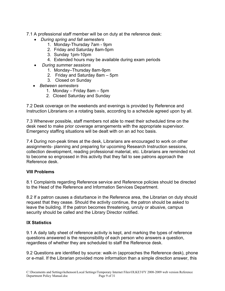7.1 A professional staff member will be on duty at the reference desk:

- ! *During spring and fall semesters* 
	- 1. Monday-Thursday 7am 9pm
	- 2. Friday and Saturday 8am-5pm
	- 3. Sunday 1pm-10pm
	- 4. Extended hours may be available during exam periods
- ! *During summer sessions*
	- 1. Monday–Thursday 8am-9pm
	- 2. Friday and Saturday 8am 5pm
	- 3. Closed on Sunday
- ! *Between semesters* 
	- 1. Monday Friday 8am 5pm
	- 2. Closed Saturday and Sunday

7.2 Desk coverage on the weekends and evenings is provided by Reference and Instruction Librarians on a rotating basis, according to a schedule agreed upon by all.

7.3 Whenever possible, staff members not able to meet their scheduled time on the desk need to make prior coverage arrangements with the appropriate supervisor. Emergency staffing situations will be dealt with on an ad hoc basis.

7.4 During non-peak times at the desk, Librarians are encouraged to work on other assignments- planning and preparing for upcoming Research Instruction sessions, collection development, reading professional material, etc. Librarians are reminded not to become so engrossed in this activity that they fail to see patrons approach the Reference desk.

#### **VIII Problems**

8.1 Complaints regarding Reference service and Reference policies should be directed to the Head of the Reference and Information Services Department.

8.2 If a patron causes a disturbance in the Reference area, the Librarian on duty should request that they cease. Should the activity continue, the patron should be asked to leave the building. If the patron becomes threatening, unruly or abusive, campus security should be called and the Library Director notified.

#### **IX Statistics**

9.1 A daily tally sheet of reference activity is kept, and marking the types of reference questions answered is the responsibility of each person who answers a question, regardless of whether they are scheduled to staff the Reference desk.

9.2 Questions are identified by source: walk-in (approaches the Reference desk), phone or e-mail. If the Librarian provided more information than a simple direction answer, this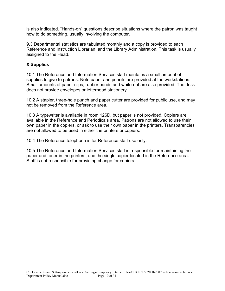is also indicated. "Hands-on" questions describe situations where the patron was taught how to do something, usually involving the computer.

9.3 Departmental statistics are tabulated monthly and a copy is provided to each Reference and Instruction Librarian, and the Library Administration. This task is usually assigned to the Head.

#### **X Supplies**

10.1 The Reference and Information Services staff maintains a small amount of supplies to give to patrons. Note paper and pencils are provided at the workstations. Small amounts of paper clips, rubber bands and white-out are also provided. The desk does not provide envelopes or letterhead stationery.

10.2 A stapler, three-hole punch and paper cutter are provided for public use, and may not be removed from the Reference area.

10.3 A typewriter is available in room 126D, but paper is not provided. Copiers are available in the Reference and Periodicals area. Patrons are not allowed to use their own paper in the copiers, or ask to use their own paper in the printers. Transparencies are not allowed to be used in either the printers or copiers.

10.4 The Reference telephone is for Reference staff use only.

10.5 The Reference and Information Services staff is responsible for maintaining the paper and toner in the printers, and the single copier located in the Reference area. Staff is not responsible for providing change for copiers.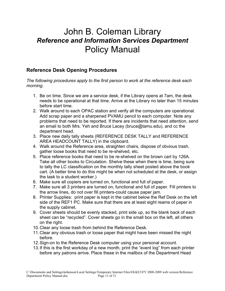#### **Reference Desk Opening Procedures**

*The following procedures apply to the first person to work at the reference desk each morning.* 

- 1. Be on time. Since we are a service desk, if the Library opens at 7am, the desk needs to be operational at that time. Arrive at the Library no later than 15 minutes before start time.
- 2. Walk around to each OPAC station and verify all the computers are operational. Add scrap paper and a sharpened PVAMU pencil to each computer. Note any problems that need to be reported. If there are incidents that need attention, send an email to both Mrs. Yeh and Bruce Lacey (bruce@tamu.edu), and cc the department head.
- 3. Place new daily tally sheets (REFERENCE DESK TALLY and REFERENCE AREA HEADCOUNT TALLY) in the clipboard.
- 4. Walk around the Reference area, straighten chairs, dispose of obvious trash, gather loose books that need to be re-shelved, etc.
- 5. Place reference books that need to be re-shelved on the brown cart by 126A. Take all other books to Circulation. Shelve these when there is time, being sure to tally the LC classification on the monthly tally sheet posted above the book cart. (A better time to do this might be when not scheduled at the desk, or assign the task to a student worker.)
- 6. Make sure all copiers are turned on, functional and full of paper.
- 7. Make sure all 3 printers are turned on, functional and full of paper. Fill printers to the arrow lines, do not over fill printers-could cause paper jam.
- 8. Printer Supplies: print paper is kept in the cabinet below the Ref Desk on the left side of the REF1 PC. Make sure that there are at least eight reams of paper in the supply cabinet.
- 9. Cover sheets should be evenly stacked, print side up, so the blank back of each sheet can be "recycled". Cover sheets go in the small box on the left, all others on the right.
- 10. Clear any loose trash from behind the Reference Desk.
- 11. Clear any obvious trash or loose paper that might have been missed the night before.
- 12. Sign-on to the Reference Desk computer using your personal account.
- 13. If this is the first workday of a new month, print the "event log" from each printer before any patrons arrive. Place these in the mailbox of the Department Head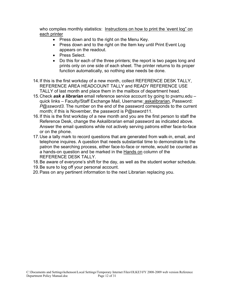who compiles monthly statistics: Instructions on how to print the 'event log" on each printer

- Press down and to the right on the Menu Key.
- Press down and to the right on the Item key until Print Event Log appears on the readout.
- Press Select.
- Do this for each of the three printers; the report is two pages long and prints only on one side of each sheet. The printer returns to its proper function automatically, so nothing else needs be done.
- 14. If this is the first workday of a new month, collect REFERENCE DESK TALLY, REFERENCE AREA HEADCOUNT TALLY and READY REFERENCE USE TALLY of last month and place them in the mailbox of department head.
- 15. Check *ask a librarian* email reference service account by going to pvamu.edu quick links – Faculty/Staff Exchange Mail, Username: askalibrarian, Password: *P@ssword3.* The number on the end of the password corresponds to the current month; if this is November, the password is P@ssword11.
- 16. If this is the first workday of a new month and you are the first person to staff the Reference Desk, change the Askalibrarian email password as indicated above. Answer the email questions while not actively serving patrons either face-to-face or on the phone.
- 17. Use a tally mark to record questions that are generated from walk-in, email, and telephone inquires. A question that needs substantial time to demonstrate to the patron the searching process, either face-to-face or remote, would be counted as a hands-on question and be marked in the Hands on column of the REFERENCE DESK TALLY.
- 18. Be aware of everyone's shift for the day, as well as the student worker schedule.
- 19. Be sure to log off your personal account.
- 20. Pass on any pertinent information to the next Librarian replacing you.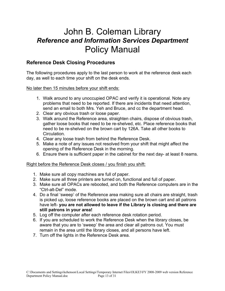#### **Reference Desk Closing Procedures**

The following procedures apply to the last person to work at the reference desk each day, as well to each time your shift on the desk ends.

No later then 15 minutes before your shift ends:

- 1. Walk around to any unoccupied OPAC and verify it is operational. Note any problems that need to be reported. If there are incidents that need attention, send an email to both Mrs. Yeh and Bruce, and cc the department head.
- 2. Clear any obvious trash or loose paper.
- 3. Walk around the Reference area, straighten chairs, dispose of obvious trash, gather loose books that need to be re-shelved, etc. Place reference books that need to be re-shelved on the brown cart by 126A. Take all other books to Circulation.
- 4. Clear any loose trash from behind the Reference Desk.
- 5. Make a note of any issues not resolved from your shift that might affect the opening of the Reference Desk in the morning.
- 6. Ensure there is sufficient paper in the cabinet for the next day- at least 8 reams.

Right before the Reference Desk closes / you finish you shift:

- 1. Make sure all copy machines are full of paper.
- 2. Make sure all three printers are turned on, functional and full of paper.
- 3. Make sure all OPACs are rebooted, and both the Reference computers are in the "Ctrl-alt-Del" mode.
- 4. Do a final 'sweep' of the Reference area making sure all chairs are straight, trash is picked up, loose reference books are placed on the brown cart and all patrons have left- **you are not allowed to leave if the Library is closing and there are still patrons in your area!**
- 5. Log off the computer after each reference desk rotation period.
- 6. If you are scheduled to work the Reference Desk when the library closes, be aware that you are to 'sweep' the area and clear all patrons out. You must remain in the area until the library closes, and all persons have left.
- 7. Turn off the lights in the Reference Desk area.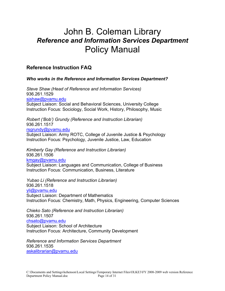#### **Reference Instruction FAQ**

#### *Who works in the Reference and Information Services Department?*

*Steve Shaw (Head of Reference and Information Services)* 936.261.1529 sjshaw@pvamu.edu Subject Liaison: Social and Behavioral Sciences, University College Instruction Focus: Sociology, Social Work, History, Philosophy, Music

*Robert ('Bob') Grundy (Reference and Instruction Librarian)*  936.261.1517 rsgrundy@pvamu.edu Subject Liaison: Army ROTC, College of Juvenile Justice & Psychology Instruction Focus: Psychology, Juvenile Justice, Law, Education

*Kimberly Gay (Reference and Instruction Librarian)* 936.261.1506 kmgay@pvamu.edu Subject Liaison: Languages and Communication, College of Business Instruction Focus: Communication, Business, Literature

*Yubao Li (Reference and Instruction Librarian)* 936.261.1518 yli@pvamu.edu Subject Liaison: Department of Mathematics Instruction Focus: Chemistry, Math, Physics, Engineering, Computer Sciences

*Chieko Sato (Reference and Instruction Librarian)*  936.261.1507 chsato@pvamu.edu Subject Liaison: School of Architecture Instruction Focus: Architecture, Community Development

*Reference and Information Services Department* 936.261.1535 askalibrarian@pvamu.edu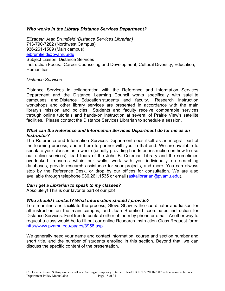#### *Who works in the Library Distance Services Department?*

*Elizabeth Jean Brumfield (Distance Services Librarian)* 713-790-7282 (Northwest Campus) 936-261-1509 (Main campus) ejbrumfield@pvamu.edu Subject Liaison: Distance Services Instruction Focus: Career Counseling and Development, Cultural Diversity, Education, **Humanities** 

#### *Distance Services*

Distance Services in collaboration with the Reference and Information Services Department and the Distance Learning Council works specifically with satellite campuses and Distance Education students and faculty. Research instruction workshops and other library services are presented in accordance with the main library's mission and policies. Students and faculty receive comparable services through online tutorials and hands-on instruction at several of Prairie View's satellite facilities. Please contact the Distance Services Librarian to schedule a session.

#### *What can the Reference and Information Services Department do for me as an Instructor?*

The Reference and Information Services Department sees itself as an integral part of the learning process, and is here to partner with you to that end. We are available to speak to your classes as a whole (usually providing hands-on instruction on how to use our online services), lead tours of the John B. Coleman Library and the sometimes overlooked treasures within our walls, work with you individually on searching databases, provide research assistance for your projects, and more. You can always stop by the Reference Desk, or drop by our offices for consultation. We are also available through telephone 936.261.1535 or email (askalibrarian@pvamu.edu).

#### *Can I get a Librarian to speak to my classes?*

Absolutely! This is our favorite part of our job!

#### *Who should I contact? What information should I provide?*

To streamline and facilitate the process, Steve Shaw is the coordinator and liaison for all instruction on the main campus, and Jean Brumfield coordinates instruction for Distance Services. Feel free to contact either of them by phone or email. Another way to request a class would be to fill out our online Research Instruction Class Request form: http://www.pvamu.edu/pages/3958.asp

We generally need your name and contact information, course and section number and short title, and the number of students enrolled in this section. Beyond that, we can discuss the specific content of the presentation.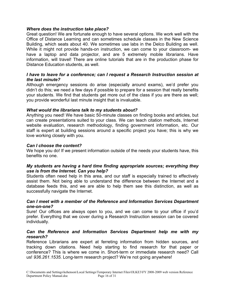#### *Where does the instruction take place?*

Great question! We are fortunate enough to have several options. We work well with the Office of Distance Learning and can sometimes schedule classes in the New Science Building, which seats about 40. We sometimes use labs in the Delco Building as well. While it might not provide hands-on instruction, we can come to your classroom- we have a laptop and data projector, and are 5 extremely mobile librarians. Have information, will travel! There are online tutorials that are in the production phase for Distance Education students, as well.

#### *I have to leave for a conference; can I request a Research Instruction session at the last minute?*

Although emergency sessions do arise (especially around exams), we'd prefer you didn't do this; we need a few days if possible to prepare for a session that really benefits your students. We find that students get more out of the class if you are there as well; you provide wonderful last minute insight that is invaluable.

#### *What would the librarians talk to my students about?*

Anything you need! We have basic 50-minute classes on finding books and articles, but can create presentations suited to your class. We can teach citation methods, Internet website evaluation, research methodology, finding government information, etc. Our staff is expert at building sessions around a specific project you have; this is why we love working closely with you.

#### *Can I choose the content?*

We hope you do! If we present information outside of the needs your students have, this benefits no one.

#### *My students are having a hard time finding appropriate sources; everything they use is from the Internet. Can you help?*

Students often need help in this area, and our staff is especially trained to effectively assist them. Not being able to understand the difference between the Internet and a database feeds this, and we are able to help them see this distinction, as well as successfully navigate the Internet.

#### *Can I meet with a member of the Reference and Information Services Department one-on-one?*

Sure! Our offices are always open to you, and we can come to your office if you'd prefer. Everything that we cover during a Research Instruction session can be covered individually.

#### *Can the Reference and Information Services Department help me with my research?*

Reference Librarians are expert at ferreting information from hidden sources, and tracking down citations. Need help starting to find research for that paper or conference? This is where we come in. Short-term or immediate research need? Call us! *936.261.1535.* Long-term research project? We're not going anywhere!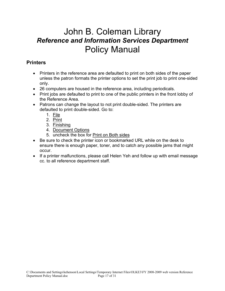#### **Printers**

- ! Printers in the reference area are defaulted to print on both sides of the paper unless the patron formats the printer options to set the print job to print one-sided only.
- 26 computers are housed in the reference area, including periodicals.
- Print jobs are defaulted to print to one of the public printers in the front lobby of the Reference Area.
- Patrons can change the layout to not print double-sided. The printers are defaulted to print double-sided. Go to:
	- 1. File
	- 2. Print
	- 3. Finishing
	- 4. Document Options
	- 5. uncheck the box for Print on Both sides
- Be sure to check the printer icon or bookmarked URL while on the desk to ensure there is enough paper, toner, and to catch any possible jams that might occur.
- If a printer malfunctions, please call Helen Yeh and follow up with email message cc. to all reference department staff.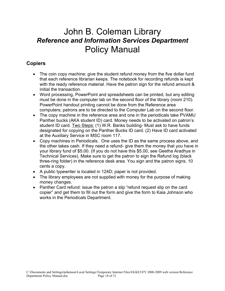#### **Copiers**

- The coin copy machine: give the student refund money from the five dollar fund that each reference librarian keeps. The notebook for recording refunds is kept with the ready reference material. Have the patron sign for the refund amount & initial the transaction.
- Word processing, PowerPoint and spreadsheets can be printed, but any editing must be done in the computer lab on the second floor of the library (room 210). PowerPoint handout printing cannot be done from the Reference area computers; patrons are to be directed to the Computer Lab on the second floor.
- The copy machine in the reference area and one in the periodicals take PVAMU Panther bucks (AKA student ID) card. Money needs to be activated on patron's student ID card. Two Steps: (1) W.R. Banks building- Must ask to have funds designated for copying on the Panther Bucks ID card. (2) Have ID card activated at the Auxiliary Service in MSC room 117.
- Copy machines in Periodicals. One uses the ID as the same process above, and the other takes cash. If they need a refund- give them the money that you have in your library fund of \$5.00. (If you do not have this \$5.00, see Geetha Aradhya in Technical Services). Make sure to get the patron to sign the Refund log (black three-ring folder) in the reference desk area. You sign and the patron signs. 10 cents a copy.
- A public typewriter is located in 124D; paper is not provided.
- The library employees are not supplied with money for the purpose of making money changes.
- Panther Card refund: issue the patron a slip "refund request slip on the card copier" and get them to fill out the form and give the form to Kaia Johnson who works in the Periodicals Department.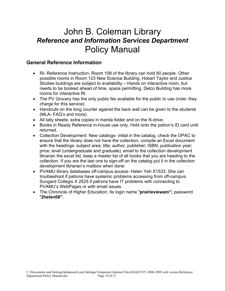#### **General Reference Information**

- RI- Reference Instruction- Room 108 of the library can hold 60 people. Other possible rooms in Room 123 New Science Building, Hobart Taylor and Justice Studies buildings are subject to availability – Hands on interactive room, but needs to be booked ahead of time, space permitting. Delco Building has more rooms for interactive RI.
- The PV Grocery has the only public fax available for the public to use (note- they charge for this service).
- Handouts on the long counter against the back wall can be given to the students (MLA- FAQ's and more).
- All tally sheets: extra copies in manila folder and on the N-drive.
- ! Books in Ready Reference in-house use only. Hold onto the patron's ID card until returned.
- Collection Development: New catalogs- initial in the catalog, check the OPAC to ensure that the library does not have the collection, compile an Excel document with the headings: subject area; title; author; publisher; ISBN; publication year; price; level (undergraduate and graduate), email to the collection development librarian the excel list, keep a master list of all books that you are heading to the collection. If you are the last one to sign-off on the catalog put it in the collection development librarian's mailbox when done.
- PVAMU library databases off-campus access- Helen Yeh X1533. She can troubleshoot if patrons have systemic problems accessing from off-campus. Sungard Collegis X 2525 if patrons have IT problems with connecting to PVAMU's WebPages or with email issues.
- ! The Chronicle of Higher Education: Its login name "**prairieviewam";** password "**2helen08".**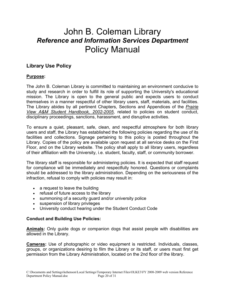#### **Library Use Policy**

#### **Purpose:**

The John B. Coleman Library is committed to maintaining an environment conducive to study and research in order to fulfill its role of supporting the University's educational mission. The Library is open to the general public and expects users to conduct themselves in a manner respectful of other library users, staff, materials, and facilities. The Library abides by all pertinent Chapters, Sections and Appendices of the *Prairie View A&M Student Handbook, 2002-2005*, related to policies on student conduct, disciplinary proceedings, sanctions, harassment, and disruptive activities.

To ensure a quiet, pleasant, safe, clean, and respectful atmosphere for both library users and staff, the Library has established the following policies regarding the use of its facilities and collections. Signage pertaining to this policy is posted throughout the Library. Copies of the policy are available upon request at all service desks on the First Floor, and on the Library website. The policy shall apply to all library users, regardless of their affiliation with the University, i.e. student, faculty, staff, or community borrower.

The library staff is responsible for administering policies. It is expected that staff request for compliance will be immediately and respectfully honored. Questions or complaints should be addressed to the library administration. Depending on the seriousness of the infraction, refusal to comply with policies may result in:

- a request to leave the building
- refusal of future access to the library
- summoning of a security guard and/or university police
- suspension of library privileges
- University conduct hearing under the Student Conduct Code

#### **Conduct and Building Use Policies:**

**Animals:** Only guide dogs or companion dogs that assist people with disabilities are allowed in the Library.

**Cameras:** Use of photographic or video equipment is restricted. Individuals, classes, groups, or organizations desiring to film the Library or its staff, or users must first get permission from the Library Administration, located on the 2nd floor of the library.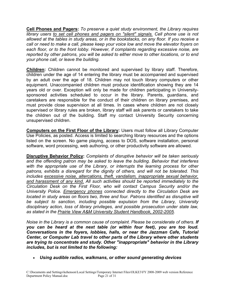**Cell Phones and Pagers:** *To preserve a quiet study environment, the Library requires*  library users to set cell phones and pagers on "silent" signals. Cell phone use is not *allowed at the tables in study areas, or in the bookstacks, on any floor. If you receive a call or need to make a call, please keep your voice low and move the elevator foyers on each floor, or to the front lobby. However, if complaints regarding excessive noise, are reported by other patrons, you will be asked to either move to other locations, or to end your phone call, or leave the building.*

**Children:** Children cannot be monitored and supervised by library staff. Therefore, children under the age of 14 entering the library must be accompanied and supervised by an adult over the age of 18. Children may not touch library computers or other equipment. Unaccompanied children must produce identification showing they are 14 years old or over. Exception will only be made for children participating in Universitysponsored activities scheduled to occur in the library. Parents, guardians, and caretakers are responsible for the conduct of their children on library premises, and must provide close supervision at all times. In cases where children are not closely supervised or library rules are broken, library staff will ask parents or caretakers to take the children out of the building. Staff my contact University Security concerning unsupervised children.

**Computers on the First Floor of the Library:** Users must follow all Library Computer Use Policies, as posted. Access is limited to searching library resources and the options listed on the screen. No game playing, access to DOS, software installation, personal software, word processing, web authoring, or other productivity software are allowed.

**Disruptive Behavior Policy:** *Complaints of disruptive behavior will be taken seriously and the offending patron may be asked to leave the building. Behavior that interferes with the appropriate use of the Library, or interrupts the learning process for other patrons, exhibits a disregard for the dignity of others, and will not be tolerated. This includes excessive noise, altercations, theft, vandalism, inappropriate sexual behavior, and harassment of any kind. All such activities should be reported immediately to the Circulation Desk on the First Floor, who will contact Campus Security and/or the University Police. Emergency phones connected directly to the Circulation Desk are located in study areas on floors two, three and four. Patrons identified as disruptive will be subject to sanction, including possible expulsion from the Library, University disciplinary action, loss of library privileges, and possible prosecution under state law, as stated in the Prairie View A&M University Student Handbook, 2002-2005.*

*Noise in the Library is a common cause of complaint. Please be considerate of others. If you can be heard at the next table (or within four feet), you are too loud. Conversations in the foyers, lobbies, halls, or near the Jazzman Cafe, Tutorial Center, or Computer Lab travel to other parts of the Library where other students are trying to concentrate and study. Other "inappropriate" behavior in the Library includes, but is not limited to the following:*

! *Using audible radios, walkmans, or other sound generating devices*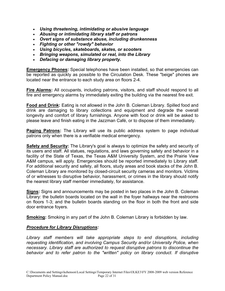- ! *Using threatening, intimidating or abusive language*
- ! *Abusing or intimidating library staff or patrons*
- ! *Overt signs of substance abuse, including drunkenness*
- ! *Fighting or other "rowdy" behavior*
- ! *Using bicycles, skateboards, skates, or scooters*
- ! *Bringing weapons, simulated or real, into the Library*
- ! *Defacing or damaging library property.*

**Emergency Phones:** Special telephones have been installed, so that emergencies can be reported as quickly as possible to the Circulation Desk. These "beige" phones are located near the entrance to each study area on floors 2-4.

**Fire Alarms:** All occupants, including patrons, visitors, and staff should respond to all fire and emergency alarms by immediately exiting the building via the nearest fire exit.

**Food and Drink:** Eating is not allowed in the John B. Coleman Library. Spilled food and drink are damaging to library collections and equipment and degrade the overall longevity and comfort of library furnishings. Anyone with food or drink will be asked to please leave and finish eating in the Jazzman Café, or to dispose of them immediately.

**Paging Patrons:** The Library will use its public address system to page individual patrons only when there is a verifiable medical emergency.

**Safety and Security:** The Library's goal is always to optimize the safety and security of its users and staff. All statues, regulations, and laws governing safety and behavior in a facility of the State of Texas, the Texas A&M University System, and the Prairie View A&M campus, will apply. Emergencies should be reported immediately to Library staff. For additional security and safety, all floors, study areas and book stacks of the John B. Coleman Library are monitored by closed-circuit security cameras and monitors. Victims of or witnesses to disruptive behavior, harassment, or crimes in the library should notify the nearest library staff member immediately, for assistance.

**Signs:** Signs and announcements may be posted in two places in the John B. Coleman Library: the bulletin boards located on the wall in the foyer hallways near the restrooms on floors 1-3; and the bulletin boards standing on the floor in both the front and side door entrance foyers.

**Smoking:** Smoking in any part of the John B. Coleman Library is forbidden by law.

#### *Procedure for Library Disruptions:*

*Library staff members will take appropriate steps to end disruptions, including requesting identification, and involving Campus Security and/or University Police, when necessary. Library staff are authorized to request disruptive patrons to discontinue the behavior and to refer patron to the "written" policy on library conduct. If disruptive*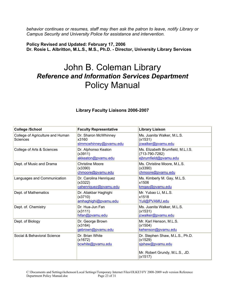*behavior continues or resumes, staff may then ask the patron to leave, notify Library or Campus Security and University Police for assistance and intervention.*

**Policy Revised and Updated: February 17, 2006 Dr. Rosie L. Albritton, M.L.S., M.S., Ph.D. - Director, University Library Services** 

| Library Faculty Liaisons 2006-2007 |
|------------------------------------|
|------------------------------------|

| <b>College /School</b>                       | <b>Faculty Representative</b>                              | <b>Library Liaison</b>                                                                                      |
|----------------------------------------------|------------------------------------------------------------|-------------------------------------------------------------------------------------------------------------|
| College of Agriculture and Human<br>Sciences | Dr. Sharon McWhinney<br>x3160<br>slmmcwhinney@pvamu.edu    | Ms. Juanita Walker, M.L.S.<br>(x1531)<br>jcwalker@pvamu.edu                                                 |
| College of Arts & Sciences                   | Dr. Alphonso Keaton<br>(x3911)<br>akkeaton@pvamu.edu       | Ms. Elizabeth Brumfield, M.L.I.S.<br>(713-790-7282)<br>ejbrumfield@pvamu.edu                                |
| Dept. of Music and Drama                     | <b>Christine Moore</b><br>(x3390)<br>chmoore@pvamu.edu     | Ms. Christine Moore, M.L.S.<br>(x3390)<br>chmoore@pvamu.edu                                                 |
| Languages and Communication                  | Dr. Carolina Henriquez<br>(x3322)<br>cahenriquez@pvamu.edu | Ms. Kimberly M. Gay, M.L.S.<br>x1506<br>kmgay@pvamu.edu                                                     |
| Dept. of Mathematics                         | Dr. Aliakbar Haghighi<br>(x3710)<br>amhaghighi@pvamu.edu   | Mr. Yubao Li, M.L.S.<br>x1518<br>Yuli@PVAMU.edu                                                             |
| Dept. of. Chemistry                          | Dr. Hua-Jun Fan<br>(x3111)<br>hifan@pvamu.edu              | Ms. Juanita Walker, M.L.S.<br>(x1531)<br>jcwalker@pvamu.edu                                                 |
| Dept. of Biology                             | Dr. George Brown<br>(x3164)<br>gebrown@pvamu.edu           | Mr. Karl Henson, M.L.S.<br>(x1504)<br>kehenson@pvamu.edu                                                    |
| Social & Behavioral Science                  | Dr. Brian White<br>(x1672)<br>bcwhite@pvamu.edu            | Dr. Stephen Shaw, M.L.S., Ph.D.<br>(x1529)<br>sishaw@pvamu.edu<br>Mr. Robert Grundy, M.L.S., JD.<br>(x1517) |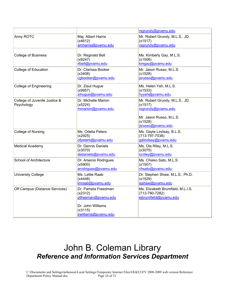|                                             |                                                                                                               | rsgrundy@pvamu.edu                                                                                                         |
|---------------------------------------------|---------------------------------------------------------------------------------------------------------------|----------------------------------------------------------------------------------------------------------------------------|
| Army ROTC                                   | Maj. Albert Harris<br>(x4612)<br>amharris@pvamu.edu                                                           | Mr. Robert Grundy, M.L.S., JD.<br>(x1517)<br>rsgrundy@pvamu.edu                                                            |
| <b>College of Business</b>                  | Dr. Reginald Bell<br>(x9247)<br>rlbell@pvamu.edu                                                              | Ms. Kimberly Gay, M.L.S.<br>(x1506)<br>kmgay@pvamu.edu                                                                     |
| <b>College of Education</b>                 | Dr. Clarissa Booker<br>(x3408)<br>cgbooker@pvamu.edu                                                          | Mr. Jason Russo, M.L.S.<br>(x1528)<br>jsrusso@pvamu.edu                                                                    |
| <b>College of Engineering</b>               | Dr. Ziaul Hugue<br>(x9957)<br>zihuque@pvamu.edu                                                               | Ms. Helen Yeh, M.L.S.<br>(x1533)<br>hyyeh@pvamu.edu                                                                        |
| College of Juvenile Justice &<br>Psychology | Dr. Michelle Marion<br>(x5224)<br>mmarion@pvamu.edu                                                           | Mr. Robert Grundy, M.L.S., JD.<br>(x1517)<br>rsgrundy@pvamu.edu<br>Mr. Jason Russo, M.L.S.<br>(x1528)<br>jsrusso@pvamu.edu |
| College of Nursing                          | Ms. Odelia Peters<br>(x2925)<br>ofpeters@pvamu.edu                                                            | Ms. Gayle Lindsay, B.L.S.<br>$(713-797-7038)$<br>galindsay@pvamu.edu                                                       |
| <b>Medical Academy</b>                      | Dr. Dennis Daniels<br>(x3070)<br>dedaniels@pvamu.edu                                                          | Ms. Ola Riley, M.L.S.<br>(x3075)<br>ocriley@pvamu.edu                                                                      |
| School of Architecture                      | Dr. Arsenio Rodrigues<br>(x5900)<br>arodrigues@pvamu.edu                                                      | Ms. Chieko Sato, M.L.S.<br>(x1507)<br>chsato@pvamu.edu                                                                     |
| <b>University College</b>                   | Ms. Lettie Raab<br>(x4448)<br>Imraab@pvamu.edu                                                                | Dr. Stephen Shaw, M.L.S., Ph.D.<br>(x1529)<br>sjshaw@pvamu.edu                                                             |
| Off Campus (Distance Services)              | Dr. Pamela Freedman<br>(x2312)<br>ptfreeman@pvamu.edu<br>Dr. John Williams<br>(x3115)<br>jrwilliams@pvamu.edu | Ms. Elizabeth Brumfield, M.L.I.S.<br>(713-790-7282)<br>ejbrumfield@pvamu.edu                                               |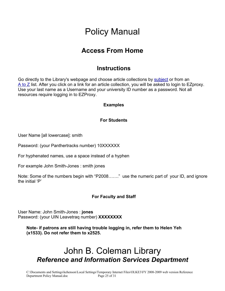### **Access From Home**

#### **Instructions**

Go directly to the Library's webpage and choose article collections by **subject** or from an  $\overline{A}$  to  $\overline{Z}$  list. After you click on a link for an article collection, you will be asked to login to EZproxy. Use your last name as a Username and your university ID number as a password. Not all resources require logging in to EZProxy.

#### **Examples**

#### **For Students**

User Name [all lowercase]: smith

Password: (your Panthertracks number) 10XXXXXX

For hyphenated names, use a space instead of a hyphen

For example John Smith-Jones : smith jones

Note: Some of the numbers begin with "P2008……." use the numeric part of your ID, and ignore the initial 'P'

#### **For Faculty and Staff**

User Name: John Smith-Jones : **jones** Password: (your UIN Leavetraq number) **XXXXXXXX**

**Note- if patrons are still having trouble logging in, refer them to Helen Yeh (x1533). Do not refer them to x2525.**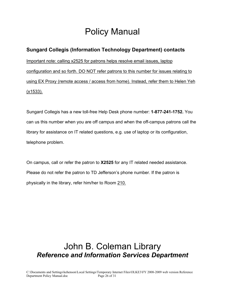#### **Sungard Collegis (Information Technology Department) contacts**

Important note: calling x2525 for patrons helps resolve email issues, laptop configuration and so forth. DO NOT refer patrons to this number for issues relating to using EX Proxy (remote access / access from home). Instead, refer them to Helen Yeh (x1533).

Sungard Collegis has a new toll-free Help Desk phone number: **1-877-241-1752.** You can us this number when you are off campus and when the off-campus patrons call the library for assistance on IT related questions, e.g. use of laptop or its configuration, telephone problem.

On campus, call or refer the patron to **X2525** for any IT related needed assistance. Please do not refer the patron to TD Jefferson's phone number. If the patron is physically in the library, refer him/her to Room 210.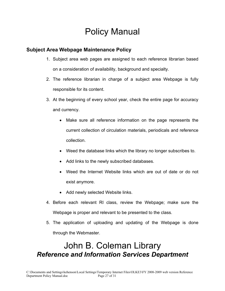#### **Subject Area Webpage Maintenance Policy**

- 1. Subject area web pages are assigned to each reference librarian based on a consideration of availability, background and specialty.
- 2. The reference librarian in charge of a subject area Webpage is fully responsible for its content.
- 3. At the beginning of every school year, check the entire page for accuracy and currency.
	- Make sure all reference information on the page represents the current collection of circulation materials, periodicals and reference collection.
	- Weed the database links which the library no longer subscribes to.
	- Add links to the newly subscribed databases.
	- Weed the Internet Website links which are out of date or do not exist anymore.
	- Add newly selected Website links.
- 4. Before each relevant RI class, review the Webpage; make sure the Webpage is proper and relevant to be presented to the class.
- 5. The application of uploading and updating of the Webpage is done through the Webmaster.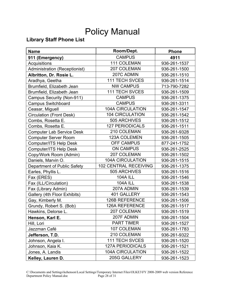#### **Library Staff Phone List**

| <b>Name</b>                      | Room/Dept.                   | <b>Phone</b> |
|----------------------------------|------------------------------|--------------|
| 911 (Emergency)                  | <b>CAMPUS</b>                | 4911         |
| Acquisitions                     | 111 COLEMAN                  | 936-261-1537 |
| Administration (Receptionist)    | 207 COLEMAN                  | 936-261-1500 |
| Albritton, Dr. Rosie L.          | 207C ADMIN                   | 936-261-1510 |
| Aradhya, Geetha                  | <b>111 TECH SVCES</b>        | 936-261-1514 |
| Brumfield, Elizabeth Jean        | <b>NW CAMPUS</b>             | 713-790-7282 |
| Brumfield, Elizabeth Jean        | 111 TECH SVCES               | 936-261-1509 |
| Campus Security (Non-911)        | <b>CAMPUS</b>                | 936-261-1375 |
| <b>Campus Switchboard</b>        | <b>CAMPUS</b>                | 936-261-3311 |
| Ceasar, Miguell                  | <b>104A CIRCULATION</b>      | 936-261-1547 |
| <b>Circulation (Front Desk)</b>  | <b>104 CIRCULATION</b>       | 936-261-1542 |
| Combs, Rosetta E.                | 505 ARCHIVES                 | 936-261-1512 |
| Combs, Rosetta E.                | <b>127 PERIODICALS</b>       | 936-261-1511 |
| <b>Computer Lab Service Desk</b> | 210 COLEMAN                  | 936-261-9328 |
| <b>Computer Server Room</b>      | 123A COLEMEN                 | 936-261-1505 |
| Computer/ITS Help Desk           | <b>OFF CAMPUS</b>            | 877-241-1752 |
| <b>Computer/ITS Help Desk</b>    | <b>ON CAMPUS</b>             | 936-261-2525 |
| Copy/Work Room (Admin)           | 207 COLEMAN                  | 936-261-1502 |
| Daniels, Marvin O.               | <b>104A CIRCULATION</b>      | 936-261-1515 |
| Department of Public Safety      | <b>102 CENTRAL RECEIVING</b> | 936-261-1375 |
| Earles, Phyllis L.               | 505 ARCHIVES                 | 936-261-1516 |
| Fax (ERES)                       | <b>104A ILL</b>              | 936-261-1546 |
| Fax (ILL/Circulation)            | <b>104A ILL</b>              | 936-261-1538 |
| Fax (Library Admin)              | 207A ADMIN                   | 936-261-1539 |
| Gallery (4th Floor Exhibits)     | 401 GALLERY                  | 936-261-1543 |
| Gay, Kimberly M.                 | <b>126B REFERENCE</b>        | 936-261-1506 |
| Grundy, Robert S. (Bob)          | <b>126A REFERENCE</b>        | 936-261-1517 |
| Hawkins, Delorse L.              | 207 COLEMAN                  | 936-261-1519 |
| Henson, Karl E.                  | 207F ADMIN                   | 936-261-1504 |
| Hill, Lori                       | PART TIMER                   | 936-261-1527 |
| Jazzman Café                     | 107 COLEMAN                  | 936-261-1783 |
| Jefferson, T.D.                  | 210 COLEMAN                  | 936-261-9322 |
| Johnson, Angela I.               | <b>111 TECH SVCES</b>        | 936-261-1520 |
| Johnson, Kaia K.                 | <b>127A PERIODICALS</b>      | 936-261-1521 |
| Jones, A. Landis                 | <b>104A CIRCULATION</b>      | 936-261-1522 |
| Kelley, Lauren D.                | 205G GALLERY                 | 936-261-1523 |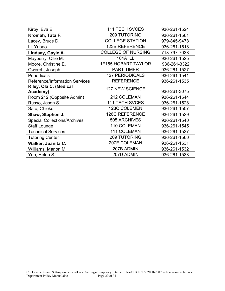| Kirby, Eva E.                         | <b>111 TECH SVCES</b>      | 936-261-1524 |
|---------------------------------------|----------------------------|--------------|
| Kromah, Tata F.                       | 209 TUTORING               | 936-261-1561 |
| Lacey, Bruce D.                       | <b>COLLEGE STATION</b>     | 979-845-9478 |
| Li, Yubao                             | <b>123B REFERENCE</b>      | 936-261-1518 |
| Lindsay, Gayle A.                     | <b>COLLEGE OF NURSING</b>  | 713-797-7038 |
| Mayberry, Ollie M.                    | <b>104A ILL</b>            | 936-261-1525 |
| Moore, Christine E.                   | <b>1F155 HOBART TAYLOR</b> | 936-261-3322 |
| Owereh, Joseph                        | <b>PART TIMER</b>          | 936-261-1527 |
| Periodicals                           | <b>127 PERIODICALS</b>     | 936-261-1541 |
| <b>Reference/Information Services</b> | <b>REFERENCE</b>           | 936-261-1535 |
| Riley, Ola C. (Medical<br>Academy)    | <b>127 NEW SCIENCE</b>     | 936-261-3075 |
| Room 212 (Opposite Admin)             | 212 COLEMAN                | 936-261-1544 |
| Russo, Jason S.                       | <b>111 TECH SVCES</b>      | 936-261-1528 |
| Sato, Chieko                          | 123C COLEMEN               | 936-261-1507 |
| Shaw, Stephen J.                      | <b>126C REFERENCE</b>      | 936-261-1529 |
| <b>Special Collections/Archives</b>   | 505 ARCHIVES               | 936-261-1540 |
| <b>Staff Lounge</b>                   | 110 COLEMAN                | 936-261-1545 |
| <b>Technical Services</b>             | 111 COLEMAN                | 936-261-1537 |
| <b>Tutoring Center</b>                | 209 TUTORING               | 936-261-1560 |
| Walker, Juanita C.                    | 207E COLEMAN               | 936-261-1531 |
| Williams, Marion M.                   | 207B ADMIN                 | 936-261-1532 |
| Yeh, Helen S.                         | 207D ADMIN                 | 936-261-1533 |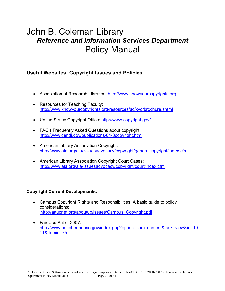#### **Useful Websites: Copyright Issues and Policies**

- Association of Research Libraries: http://www.knowyourcopyrights.org
- Resources for Teaching Faculty: http://www.knowyourcopyrights.org/resourcesfac/kycrbrochure.shtml
- United States Copyright Office: http://www.copyright.gov/
- FAQ ( Frequently Asked Questions about copyright: http://www.cendi.gov/publications/04-8copyright.html
- **American Library Association Copyright:** http://www.ala.org/ala/issuesadvocacy/copyright/generalcopyright/index.cfm
- American Library Association Copyright Court Cases: http://www.ala.org/ala/issuesadvocacy/copyright/court/index.cfm

#### **Copyright Current Developments:**

- Campus Copyright Rights and Responsibilities: A basic guide to policy considerations: http://aaupnet.org/aboutup/issues/Campus\_Copyright.pdf
- Fair Use Act of 2007: http://www.boucher.house.gov/index.php?option=com\_content&task=view&id=10 11&Itemid=75